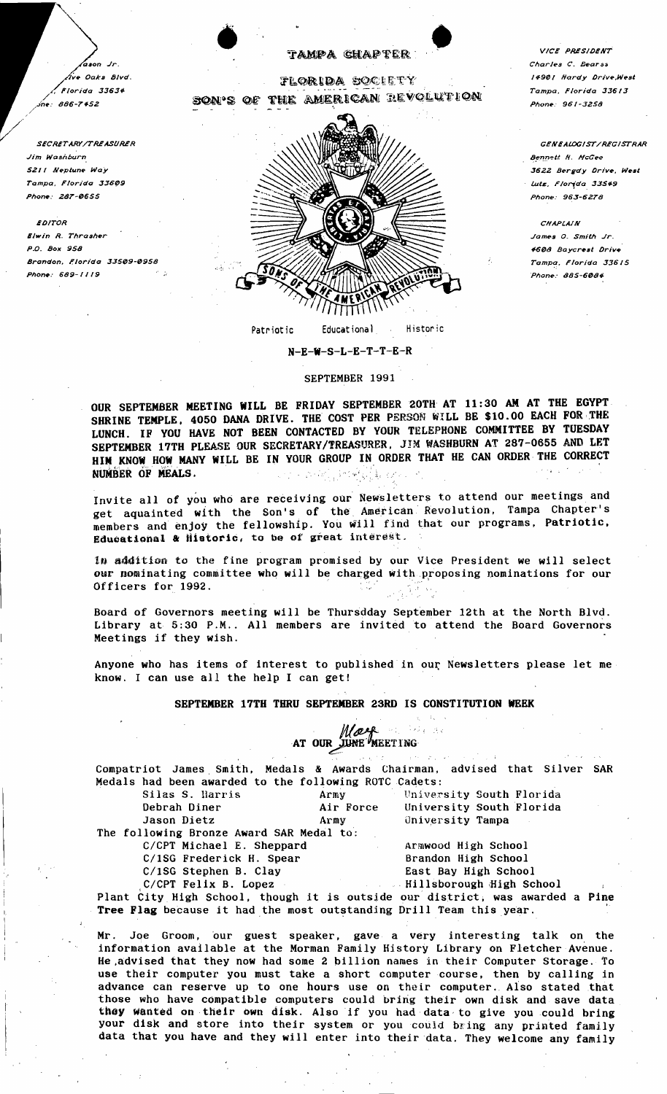/ ,/.fn...

*,,7;'. Oaks Blvd.* 1",901 *Hardy Drive,West* ~IbQ>I~Jl~~ ~Q;<Gt fn:-Y' ~/orida <sup>33634</sup>*Tampa, Florida* <sup>33613</sup> SON'S OF THE AMERICAN REVOLUTION **Formal fishing** 



Patriotic Educational Historic

N-E-W-S-L~E-T-T-E-R

#### SEPTEMBER 1991

OUR SEPTEMBER MEETING WILL BE FRIDAY SEPTEMBER 20TH AT 11:30 AM AT THE EGYPT SHRINE TEMPLE, 4050 DANA DRIVE. THE COST PER PERSON WILL BE \$10.00 EACH FOR THE LUNCH. IF YOU HAVE NOT BEEN CONTACTED BY YOUR TELEPHONE COMMITTEE BY TUESDAY SEPTEMBER 17TH PLEASE OUR SECRETARY/TREASURER, JIM WASHBURN AT 287-0655 AND LET HIM KNOW HOW MANY WILL BE IN YOUR GROUP IN ORDER THAT HE CAN ORDER THE CORRECT SEPTEMBER MEETING WILL BE FRIDAY SEPTEMBER<br>SHRINE TEMPLE, 4050 DANA DRIVE. THE COST PER PI<br>LUNCH. IF YOU HAVE NOT BEEN CONTACTED BY YOU!<br>SEPTEMBER 17TH PLEASE OUR SECRETARY/TREASURER.<br>HIM KNOW HOW MANY WILL BE IN YOUR GROU

Invite all of you who are receiving our Newsletters to attend our meetings and get aquainted with the Son's of the, American Revolution, Tampa Chapter's members and enjoy the fellowship. You will find that our programs, Patriotic, Educational & Historic, to be of great interest.

h' addition to the fine program promised by our Vice President we will select our nominating committee who will be charged with proposing nominations for our Officers for 1992.

Board of Governors meeting will be Thursdday September 12th at the North Blvd. Library at 5:30 P.M.. All members are invited to attend the Board Governors Meetings if they wish.

Anyone who has items of interest to published in our Newsletters please let me know. I can use all the help I can get!

## SEPTEMBER 17TH THRU SEPTEMBER 23RD IS CONSTITUTION WEEK

# Mor AT OUR JUNE MEETING

| Compatriot James Smith, Medals & Awards Chairman, advised that Silver SAR     |           |                                               |  |
|-------------------------------------------------------------------------------|-----------|-----------------------------------------------|--|
| Medals had been awarded to the following ROTC Cadets:                         |           |                                               |  |
| Silas S. Harris                                                               | Army      | <b>Example 1 University South Florida</b>     |  |
| Debrah Diner                                                                  | Air Force | University South Florida                      |  |
| Jason Dietz                                                                   | Army      | <b>University Tampa</b>                       |  |
| The following Bronze Award SAR Medal to:                                      |           |                                               |  |
| C/CPT Michael E. Sheppard                                                     |           | Armwood High School                           |  |
| C/1SG Frederick H. Spear                                                      |           | Brandon High School                           |  |
| $C/1SG$ Stephen B. Clay                                                       |           | East Bay High School                          |  |
|                                                                               |           | C/CPT Felix B. Lopez Millsborough High School |  |
| Plant City High School, though it is outside our district, was awarded a Pine |           |                                               |  |

Plant City High School, though it is outside our district, was away are more in the most outside our district, was away

Mr. Joe Groom, our guest speaker, gave a very interesting talk on the information available at the Morman Family History Library on Fletcher Avenue. He .advised that they now had some 2 billion names in their Computer Storage. To use their computer you must take a short computer course, then by calling in advance can reserve up to one hours use on their computer. Also stated that those who have compatible computers could bring their own disk and save data they wanted on their own disk. Also if you had data to give you could bring your disk and store into their system or you could bring any printed family data that you have and they will enter into their data. They welcome any family

TAMPA GHAPTER<br>
TAMPA GHAPTER<br>
TRORIDA SOCIETY (Charles C. Bearss *Charles C. Bears.*